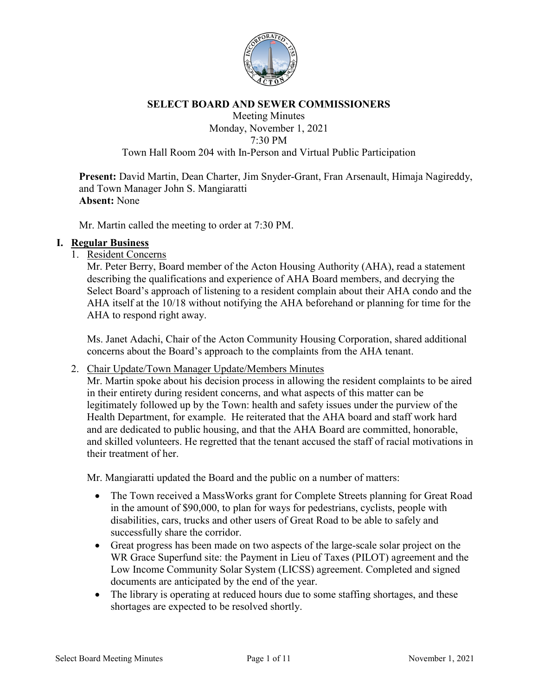

#### **SELECT BOARD AND SEWER COMMISSIONERS**

#### Meeting Minutes Monday, November 1, 2021 7:30 PM Town Hall Room 204 with In-Person and Virtual Public Participation

**Present:** David Martin, Dean Charter, Jim Snyder-Grant, Fran Arsenault, Himaja Nagireddy, and Town Manager John S. Mangiaratti **Absent:** None

Mr. Martin called the meeting to order at 7:30 PM.

#### **I. Regular Business**

1. Resident Concerns

Mr. Peter Berry, Board member of the Acton Housing Authority (AHA), read a statement describing the qualifications and experience of AHA Board members, and decrying the Select Board's approach of listening to a resident complain about their AHA condo and the AHA itself at the 10/18 without notifying the AHA beforehand or planning for time for the AHA to respond right away.

Ms. Janet Adachi, Chair of the Acton Community Housing Corporation, shared additional concerns about the Board's approach to the complaints from the AHA tenant.

2. Chair Update/Town Manager Update/Members Minutes

Mr. Martin spoke about his decision process in allowing the resident complaints to be aired in their entirety during resident concerns, and what aspects of this matter can be legitimately followed up by the Town: health and safety issues under the purview of the Health Department, for example. He reiterated that the AHA board and staff work hard and are dedicated to public housing, and that the AHA Board are committed, honorable, and skilled volunteers. He regretted that the tenant accused the staff of racial motivations in their treatment of her.

Mr. Mangiaratti updated the Board and the public on a number of matters:

- The Town received a MassWorks grant for Complete Streets planning for Great Road in the amount of \$90,000, to plan for ways for pedestrians, cyclists, people with disabilities, cars, trucks and other users of Great Road to be able to safely and successfully share the corridor.
- Great progress has been made on two aspects of the large-scale solar project on the WR Grace Superfund site: the Payment in Lieu of Taxes (PILOT) agreement and the Low Income Community Solar System (LICSS) agreement. Completed and signed documents are anticipated by the end of the year.
- The library is operating at reduced hours due to some staffing shortages, and these shortages are expected to be resolved shortly.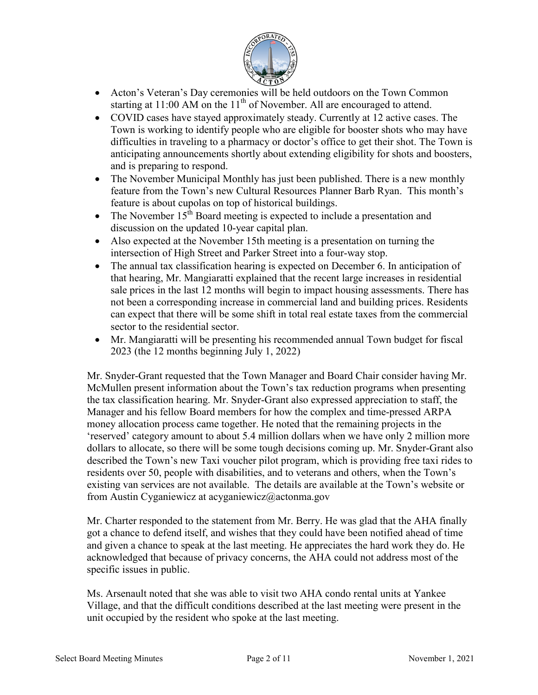

- Acton's Veteran's Day ceremonies will be held outdoors on the Town Common starting at  $11:00$  AM on the  $11<sup>th</sup>$  of November. All are encouraged to attend.
- COVID cases have stayed approximately steady. Currently at 12 active cases. The Town is working to identify people who are eligible for booster shots who may have difficulties in traveling to a pharmacy or doctor's office to get their shot. The Town is anticipating announcements shortly about extending eligibility for shots and boosters, and is preparing to respond.
- The November Municipal Monthly has just been published. There is a new monthly feature from the Town's new Cultural Resources Planner Barb Ryan. This month's feature is about cupolas on top of historical buildings.
- The November  $15<sup>th</sup>$  Board meeting is expected to include a presentation and discussion on the updated 10-year capital plan.
- Also expected at the November 15th meeting is a presentation on turning the intersection of High Street and Parker Street into a four-way stop.
- The annual tax classification hearing is expected on December 6. In anticipation of that hearing, Mr. Mangiaratti explained that the recent large increases in residential sale prices in the last 12 months will begin to impact housing assessments. There has not been a corresponding increase in commercial land and building prices. Residents can expect that there will be some shift in total real estate taxes from the commercial sector to the residential sector.
- Mr. Mangiaratti will be presenting his recommended annual Town budget for fiscal 2023 (the 12 months beginning July 1, 2022)

Mr. Snyder-Grant requested that the Town Manager and Board Chair consider having Mr. McMullen present information about the Town's tax reduction programs when presenting the tax classification hearing. Mr. Snyder-Grant also expressed appreciation to staff, the Manager and his fellow Board members for how the complex and time-pressed ARPA money allocation process came together. He noted that the remaining projects in the 'reserved' category amount to about 5.4 million dollars when we have only 2 million more dollars to allocate, so there will be some tough decisions coming up. Mr. Snyder-Grant also described the Town's new Taxi voucher pilot program, which is providing free taxi rides to residents over 50, people with disabilities, and to veterans and others, when the Town's existing van services are not available. The details are available at the Town's website or from Austin Cyganiewicz at acyganiewicz@actonma.gov

Mr. Charter responded to the statement from Mr. Berry. He was glad that the AHA finally got a chance to defend itself, and wishes that they could have been notified ahead of time and given a chance to speak at the last meeting. He appreciates the hard work they do. He acknowledged that because of privacy concerns, the AHA could not address most of the specific issues in public.

Ms. Arsenault noted that she was able to visit two AHA condo rental units at Yankee Village, and that the difficult conditions described at the last meeting were present in the unit occupied by the resident who spoke at the last meeting.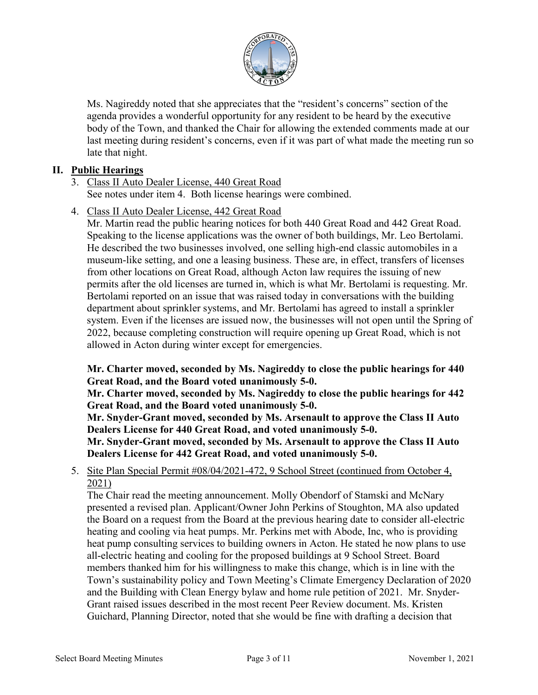

Ms. Nagireddy noted that she appreciates that the "resident's concerns" section of the agenda provides a wonderful opportunity for any resident to be heard by the executive body of the Town, and thanked the Chair for allowing the extended comments made at our last meeting during resident's concerns, even if it was part of what made the meeting run so late that night.

## **II. Public Hearings**

#### 3. Class II Auto Dealer License, 440 Great Road See notes under item 4. Both license hearings were combined.

4. Class II Auto Dealer License, 442 Great Road

Mr. Martin read the public hearing notices for both 440 Great Road and 442 Great Road. Speaking to the license applications was the owner of both buildings, Mr. Leo Bertolami. He described the two businesses involved, one selling high-end classic automobiles in a museum-like setting, and one a leasing business. These are, in effect, transfers of licenses from other locations on Great Road, although Acton law requires the issuing of new permits after the old licenses are turned in, which is what Mr. Bertolami is requesting. Mr. Bertolami reported on an issue that was raised today in conversations with the building department about sprinkler systems, and Mr. Bertolami has agreed to install a sprinkler system. Even if the licenses are issued now, the businesses will not open until the Spring of 2022, because completing construction will require opening up Great Road, which is not allowed in Acton during winter except for emergencies.

**Mr. Charter moved, seconded by Ms. Nagireddy to close the public hearings for 440 Great Road, and the Board voted unanimously 5-0.**

**Mr. Charter moved, seconded by Ms. Nagireddy to close the public hearings for 442 Great Road, and the Board voted unanimously 5-0.**

**Mr. Snyder-Grant moved, seconded by Ms. Arsenault to approve the Class II Auto Dealers License for 440 Great Road, and voted unanimously 5-0.**

**Mr. Snyder-Grant moved, seconded by Ms. Arsenault to approve the Class II Auto Dealers License for 442 Great Road, and voted unanimously 5-0.** 

5. Site Plan Special Permit #08/04/2021-472, 9 School Street (continued from October 4, 2021)

The Chair read the meeting announcement. Molly Obendorf of Stamski and McNary presented a revised plan. Applicant/Owner John Perkins of Stoughton, MA also updated the Board on a request from the Board at the previous hearing date to consider all-electric heating and cooling via heat pumps. Mr. Perkins met with Abode, Inc, who is providing heat pump consulting services to building owners in Acton. He stated he now plans to use all-electric heating and cooling for the proposed buildings at 9 School Street. Board members thanked him for his willingness to make this change, which is in line with the Town's sustainability policy and Town Meeting's Climate Emergency Declaration of 2020 and the Building with Clean Energy bylaw and home rule petition of 2021. Mr. Snyder-Grant raised issues described in the most recent Peer Review document. Ms. Kristen Guichard, Planning Director, noted that she would be fine with drafting a decision that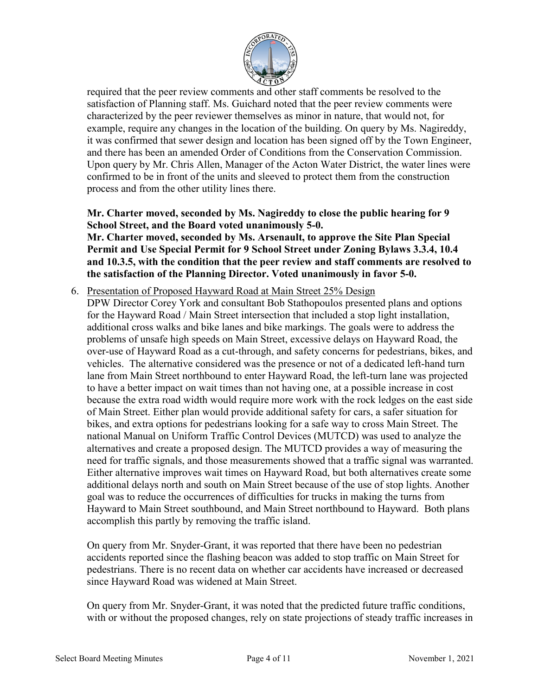

required that the peer review comments and other staff comments be resolved to the satisfaction of Planning staff. Ms. Guichard noted that the peer review comments were characterized by the peer reviewer themselves as minor in nature, that would not, for example, require any changes in the location of the building. On query by Ms. Nagireddy, it was confirmed that sewer design and location has been signed off by the Town Engineer, and there has been an amended Order of Conditions from the Conservation Commission. Upon query by Mr. Chris Allen, Manager of the Acton Water District, the water lines were confirmed to be in front of the units and sleeved to protect them from the construction process and from the other utility lines there.

# **Mr. Charter moved, seconded by Ms. Nagireddy to close the public hearing for 9 School Street, and the Board voted unanimously 5-0.**

#### **Mr. Charter moved, seconded by Ms. Arsenault, to approve the Site Plan Special Permit and Use Special Permit for 9 School Street under Zoning Bylaws 3.3.4, 10.4 and 10.3.5, with the condition that the peer review and staff comments are resolved to the satisfaction of the Planning Director. Voted unanimously in favor 5-0.**

#### 6. Presentation of Proposed Hayward Road at Main Street 25% Design

DPW Director Corey York and consultant Bob Stathopoulos presented plans and options for the Hayward Road / Main Street intersection that included a stop light installation, additional cross walks and bike lanes and bike markings. The goals were to address the problems of unsafe high speeds on Main Street, excessive delays on Hayward Road, the over-use of Hayward Road as a cut-through, and safety concerns for pedestrians, bikes, and vehicles. The alternative considered was the presence or not of a dedicated left-hand turn lane from Main Street northbound to enter Hayward Road, the left-turn lane was projected to have a better impact on wait times than not having one, at a possible increase in cost because the extra road width would require more work with the rock ledges on the east side of Main Street. Either plan would provide additional safety for cars, a safer situation for bikes, and extra options for pedestrians looking for a safe way to cross Main Street. The national Manual on Uniform Traffic Control Devices (MUTCD) was used to analyze the alternatives and create a proposed design. The MUTCD provides a way of measuring the need for traffic signals, and those measurements showed that a traffic signal was warranted. Either alternative improves wait times on Hayward Road, but both alternatives create some additional delays north and south on Main Street because of the use of stop lights. Another goal was to reduce the occurrences of difficulties for trucks in making the turns from Hayward to Main Street southbound, and Main Street northbound to Hayward. Both plans accomplish this partly by removing the traffic island.

On query from Mr. Snyder-Grant, it was reported that there have been no pedestrian accidents reported since the flashing beacon was added to stop traffic on Main Street for pedestrians. There is no recent data on whether car accidents have increased or decreased since Hayward Road was widened at Main Street.

On query from Mr. Snyder-Grant, it was noted that the predicted future traffic conditions, with or without the proposed changes, rely on state projections of steady traffic increases in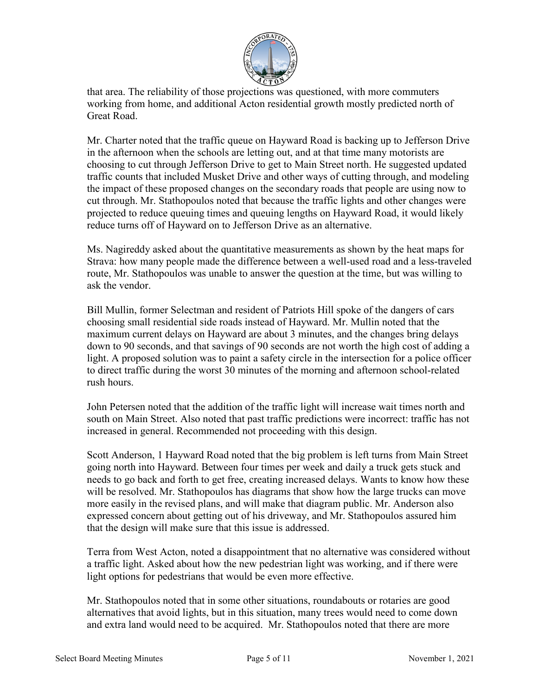

that area. The reliability of those projections was questioned, with more commuters working from home, and additional Acton residential growth mostly predicted north of Great Road.

Mr. Charter noted that the traffic queue on Hayward Road is backing up to Jefferson Drive in the afternoon when the schools are letting out, and at that time many motorists are choosing to cut through Jefferson Drive to get to Main Street north. He suggested updated traffic counts that included Musket Drive and other ways of cutting through, and modeling the impact of these proposed changes on the secondary roads that people are using now to cut through. Mr. Stathopoulos noted that because the traffic lights and other changes were projected to reduce queuing times and queuing lengths on Hayward Road, it would likely reduce turns off of Hayward on to Jefferson Drive as an alternative.

Ms. Nagireddy asked about the quantitative measurements as shown by the heat maps for Strava: how many people made the difference between a well-used road and a less-traveled route, Mr. Stathopoulos was unable to answer the question at the time, but was willing to ask the vendor.

Bill Mullin, former Selectman and resident of Patriots Hill spoke of the dangers of cars choosing small residential side roads instead of Hayward. Mr. Mullin noted that the maximum current delays on Hayward are about 3 minutes, and the changes bring delays down to 90 seconds, and that savings of 90 seconds are not worth the high cost of adding a light. A proposed solution was to paint a safety circle in the intersection for a police officer to direct traffic during the worst 30 minutes of the morning and afternoon school-related rush hours.

John Petersen noted that the addition of the traffic light will increase wait times north and south on Main Street. Also noted that past traffic predictions were incorrect: traffic has not increased in general. Recommended not proceeding with this design.

Scott Anderson, 1 Hayward Road noted that the big problem is left turns from Main Street going north into Hayward. Between four times per week and daily a truck gets stuck and needs to go back and forth to get free, creating increased delays. Wants to know how these will be resolved. Mr. Stathopoulos has diagrams that show how the large trucks can move more easily in the revised plans, and will make that diagram public. Mr. Anderson also expressed concern about getting out of his driveway, and Mr. Stathopoulos assured him that the design will make sure that this issue is addressed.

Terra from West Acton, noted a disappointment that no alternative was considered without a traffic light. Asked about how the new pedestrian light was working, and if there were light options for pedestrians that would be even more effective.

Mr. Stathopoulos noted that in some other situations, roundabouts or rotaries are good alternatives that avoid lights, but in this situation, many trees would need to come down and extra land would need to be acquired. Mr. Stathopoulos noted that there are more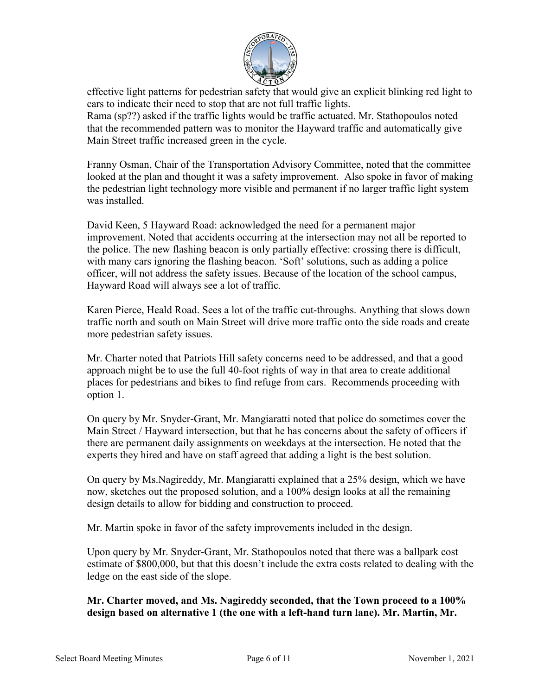

effective light patterns for pedestrian safety that would give an explicit blinking red light to cars to indicate their need to stop that are not full traffic lights.

Rama (sp??) asked if the traffic lights would be traffic actuated. Mr. Stathopoulos noted that the recommended pattern was to monitor the Hayward traffic and automatically give Main Street traffic increased green in the cycle.

Franny Osman, Chair of the Transportation Advisory Committee, noted that the committee looked at the plan and thought it was a safety improvement. Also spoke in favor of making the pedestrian light technology more visible and permanent if no larger traffic light system was installed.

David Keen, 5 Hayward Road: acknowledged the need for a permanent major improvement. Noted that accidents occurring at the intersection may not all be reported to the police. The new flashing beacon is only partially effective: crossing there is difficult, with many cars ignoring the flashing beacon. 'Soft' solutions, such as adding a police officer, will not address the safety issues. Because of the location of the school campus, Hayward Road will always see a lot of traffic.

Karen Pierce, Heald Road. Sees a lot of the traffic cut-throughs. Anything that slows down traffic north and south on Main Street will drive more traffic onto the side roads and create more pedestrian safety issues.

Mr. Charter noted that Patriots Hill safety concerns need to be addressed, and that a good approach might be to use the full 40-foot rights of way in that area to create additional places for pedestrians and bikes to find refuge from cars. Recommends proceeding with option 1.

On query by Mr. Snyder-Grant, Mr. Mangiaratti noted that police do sometimes cover the Main Street / Hayward intersection, but that he has concerns about the safety of officers if there are permanent daily assignments on weekdays at the intersection. He noted that the experts they hired and have on staff agreed that adding a light is the best solution.

On query by Ms.Nagireddy, Mr. Mangiaratti explained that a 25% design, which we have now, sketches out the proposed solution, and a 100% design looks at all the remaining design details to allow for bidding and construction to proceed.

Mr. Martin spoke in favor of the safety improvements included in the design.

Upon query by Mr. Snyder-Grant, Mr. Stathopoulos noted that there was a ballpark cost estimate of \$800,000, but that this doesn't include the extra costs related to dealing with the ledge on the east side of the slope.

#### **Mr. Charter moved, and Ms. Nagireddy seconded, that the Town proceed to a 100% design based on alternative 1 (the one with a left-hand turn lane). Mr. Martin, Mr.**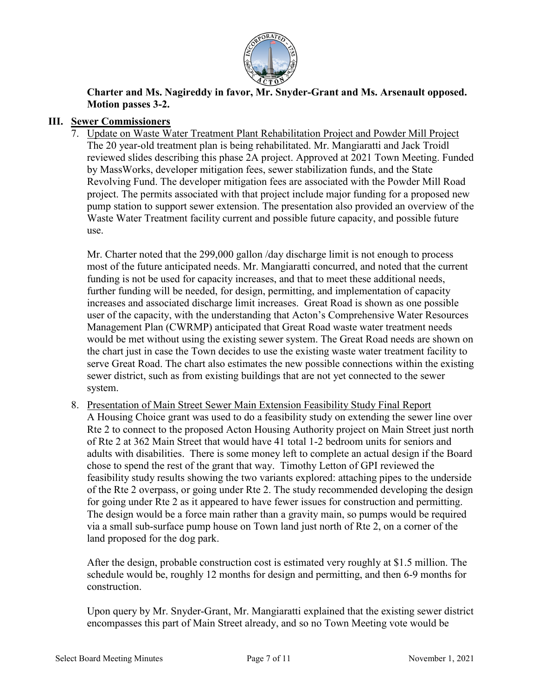

**Charter and Ms. Nagireddy in favor, Mr. Snyder-Grant and Ms. Arsenault opposed. Motion passes 3-2.**

# **III. Sewer Commissioners**

7. Update on Waste Water Treatment Plant Rehabilitation Project and Powder Mill Project The 20 year-old treatment plan is being rehabilitated. Mr. Mangiaratti and Jack Troidl reviewed slides describing this phase 2A project. Approved at 2021 Town Meeting. Funded by MassWorks, developer mitigation fees, sewer stabilization funds, and the State Revolving Fund. The developer mitigation fees are associated with the Powder Mill Road project. The permits associated with that project include major funding for a proposed new pump station to support sewer extension. The presentation also provided an overview of the Waste Water Treatment facility current and possible future capacity, and possible future use.

Mr. Charter noted that the 299,000 gallon /day discharge limit is not enough to process most of the future anticipated needs. Mr. Mangiaratti concurred, and noted that the current funding is not be used for capacity increases, and that to meet these additional needs, further funding will be needed, for design, permitting, and implementation of capacity increases and associated discharge limit increases. Great Road is shown as one possible user of the capacity, with the understanding that Acton's Comprehensive Water Resources Management Plan (CWRMP) anticipated that Great Road waste water treatment needs would be met without using the existing sewer system. The Great Road needs are shown on the chart just in case the Town decides to use the existing waste water treatment facility to serve Great Road. The chart also estimates the new possible connections within the existing sewer district, such as from existing buildings that are not yet connected to the sewer system.

8. Presentation of Main Street Sewer Main Extension Feasibility Study Final Report A Housing Choice grant was used to do a feasibility study on extending the sewer line over Rte 2 to connect to the proposed Acton Housing Authority project on Main Street just north of Rte 2 at 362 Main Street that would have 41 total 1-2 bedroom units for seniors and adults with disabilities. There is some money left to complete an actual design if the Board chose to spend the rest of the grant that way. Timothy Letton of GPI reviewed the feasibility study results showing the two variants explored: attaching pipes to the underside of the Rte 2 overpass, or going under Rte 2. The study recommended developing the design for going under Rte 2 as it appeared to have fewer issues for construction and permitting. The design would be a force main rather than a gravity main, so pumps would be required via a small sub-surface pump house on Town land just north of Rte 2, on a corner of the land proposed for the dog park.

After the design, probable construction cost is estimated very roughly at \$1.5 million. The schedule would be, roughly 12 months for design and permitting, and then 6-9 months for construction.

Upon query by Mr. Snyder-Grant, Mr. Mangiaratti explained that the existing sewer district encompasses this part of Main Street already, and so no Town Meeting vote would be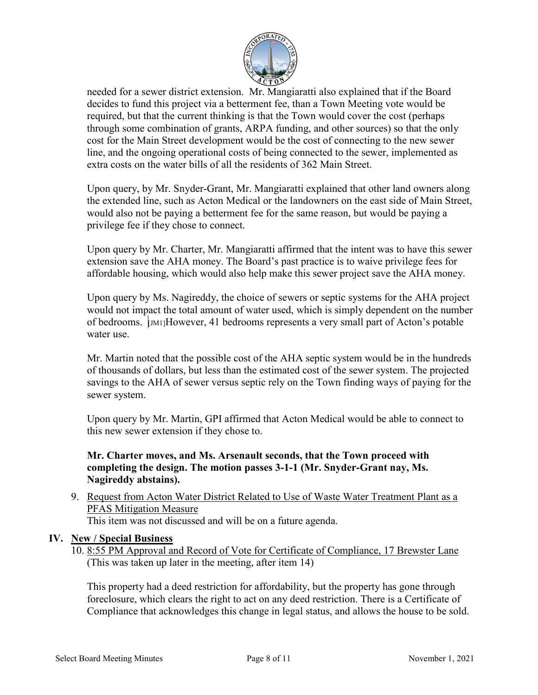

needed for a sewer district extension. Mr. Mangiaratti also explained that if the Board decides to fund this project via a betterment fee, than a Town Meeting vote would be required, but that the current thinking is that the Town would cover the cost (perhaps through some combination of grants, ARPA funding, and other sources) so that the only cost for the Main Street development would be the cost of connecting to the new sewer line, and the ongoing operational costs of being connected to the sewer, implemented as extra costs on the water bills of all the residents of 362 Main Street.

Upon query, by Mr. Snyder-Grant, Mr. Mangiaratti explained that other land owners along the extended line, such as Acton Medical or the landowners on the east side of Main Street, would also not be paying a betterment fee for the same reason, but would be paying a privilege fee if they chose to connect.

Upon query by Mr. Charter, Mr. Mangiaratti affirmed that the intent was to have this sewer extension save the AHA money. The Board's past practice is to waive privilege fees for affordable housing, which would also help make this sewer project save the AHA money.

Upon query by Ms. Nagireddy, the choice of sewers or septic systems for the AHA project would not impact the total amount of water used, which is simply dependent on the number of bedrooms. [JM1]However, 41 bedrooms represents a very small part of Acton's potable water use.

Mr. Martin noted that the possible cost of the AHA septic system would be in the hundreds of thousands of dollars, but less than the estimated cost of the sewer system. The projected savings to the AHA of sewer versus septic rely on the Town finding ways of paying for the sewer system.

Upon query by Mr. Martin, GPI affirmed that Acton Medical would be able to connect to this new sewer extension if they chose to.

# **Mr. Charter moves, and Ms. Arsenault seconds, that the Town proceed with completing the design. The motion passes 3-1-1 (Mr. Snyder-Grant nay, Ms. Nagireddy abstains).**

9. Request from Acton Water District Related to Use of Waste Water Treatment Plant as a PFAS Mitigation Measure This item was not discussed and will be on a future agenda.

#### **IV. New / Special Business**

10. 8:55 PM Approval and Record of Vote for Certificate of Compliance, 17 Brewster Lane (This was taken up later in the meeting, after item 14)

This property had a deed restriction for affordability, but the property has gone through foreclosure, which clears the right to act on any deed restriction. There is a Certificate of Compliance that acknowledges this change in legal status, and allows the house to be sold.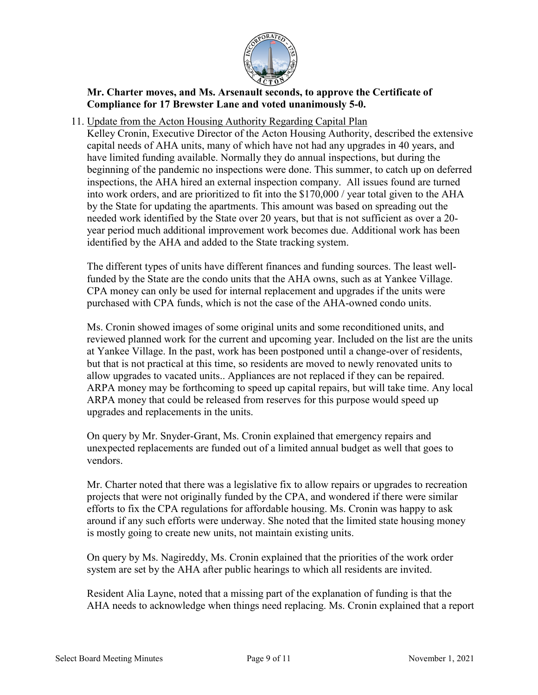

# **Mr. Charter moves, and Ms. Arsenault seconds, to approve the Certificate of Compliance for 17 Brewster Lane and voted unanimously 5-0.**

11. Update from the Acton Housing Authority Regarding Capital Plan

Kelley Cronin, Executive Director of the Acton Housing Authority, described the extensive capital needs of AHA units, many of which have not had any upgrades in 40 years, and have limited funding available. Normally they do annual inspections, but during the beginning of the pandemic no inspections were done. This summer, to catch up on deferred inspections, the AHA hired an external inspection company. All issues found are turned into work orders, and are prioritized to fit into the \$170,000 / year total given to the AHA by the State for updating the apartments. This amount was based on spreading out the needed work identified by the State over 20 years, but that is not sufficient as over a 20 year period much additional improvement work becomes due. Additional work has been identified by the AHA and added to the State tracking system.

The different types of units have different finances and funding sources. The least wellfunded by the State are the condo units that the AHA owns, such as at Yankee Village. CPA money can only be used for internal replacement and upgrades if the units were purchased with CPA funds, which is not the case of the AHA-owned condo units.

Ms. Cronin showed images of some original units and some reconditioned units, and reviewed planned work for the current and upcoming year. Included on the list are the units at Yankee Village. In the past, work has been postponed until a change-over of residents, but that is not practical at this time, so residents are moved to newly renovated units to allow upgrades to vacated units.. Appliances are not replaced if they can be repaired. ARPA money may be forthcoming to speed up capital repairs, but will take time. Any local ARPA money that could be released from reserves for this purpose would speed up upgrades and replacements in the units.

On query by Mr. Snyder-Grant, Ms. Cronin explained that emergency repairs and unexpected replacements are funded out of a limited annual budget as well that goes to vendors.

Mr. Charter noted that there was a legislative fix to allow repairs or upgrades to recreation projects that were not originally funded by the CPA, and wondered if there were similar efforts to fix the CPA regulations for affordable housing. Ms. Cronin was happy to ask around if any such efforts were underway. She noted that the limited state housing money is mostly going to create new units, not maintain existing units.

On query by Ms. Nagireddy, Ms. Cronin explained that the priorities of the work order system are set by the AHA after public hearings to which all residents are invited.

Resident Alia Layne, noted that a missing part of the explanation of funding is that the AHA needs to acknowledge when things need replacing. Ms. Cronin explained that a report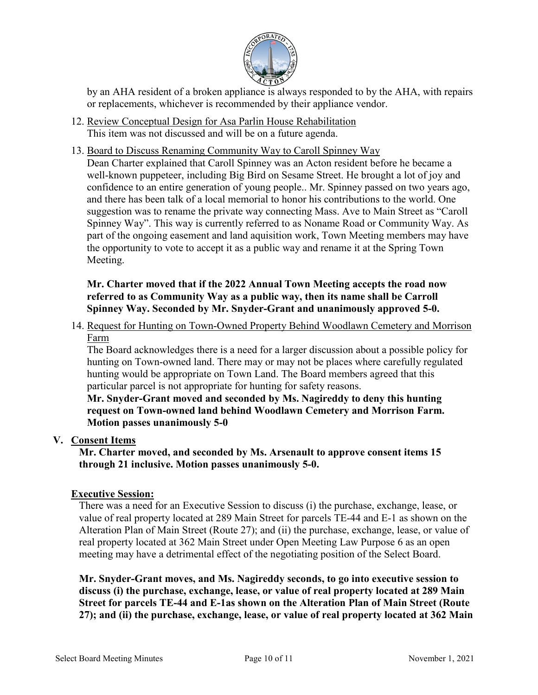

by an AHA resident of a broken appliance is always responded to by the AHA, with repairs or replacements, whichever is recommended by their appliance vendor.

- 12. Review Conceptual Design for Asa Parlin House Rehabilitation This item was not discussed and will be on a future agenda.
- 13. Board to Discuss Renaming Community Way to Caroll Spinney Way

Dean Charter explained that Caroll Spinney was an Acton resident before he became a well-known puppeteer, including Big Bird on Sesame Street. He brought a lot of joy and confidence to an entire generation of young people.. Mr. Spinney passed on two years ago, and there has been talk of a local memorial to honor his contributions to the world. One suggestion was to rename the private way connecting Mass. Ave to Main Street as "Caroll Spinney Way". This way is currently referred to as Noname Road or Community Way. As part of the ongoing easement and land aquisition work, Town Meeting members may have the opportunity to vote to accept it as a public way and rename it at the Spring Town Meeting.

## **Mr. Charter moved that if the 2022 Annual Town Meeting accepts the road now referred to as Community Way as a public way, then its name shall be Carroll Spinney Way. Seconded by Mr. Snyder-Grant and unanimously approved 5-0.**

14. Request for Hunting on Town-Owned Property Behind Woodlawn Cemetery and Morrison Farm

The Board acknowledges there is a need for a larger discussion about a possible policy for hunting on Town-owned land. There may or may not be places where carefully regulated hunting would be appropriate on Town Land. The Board members agreed that this particular parcel is not appropriate for hunting for safety reasons.

**Mr. Snyder-Grant moved and seconded by Ms. Nagireddy to deny this hunting request on Town-owned land behind Woodlawn Cemetery and Morrison Farm. Motion passes unanimously 5-0**

# **V. Consent Items**

**Mr. Charter moved, and seconded by Ms. Arsenault to approve consent items 15 through 21 inclusive. Motion passes unanimously 5-0.**

# **Executive Session:**

There was a need for an Executive Session to discuss (i) the purchase, exchange, lease, or value of real property located at 289 Main Street for parcels TE-44 and E-1 as shown on the Alteration Plan of Main Street (Route 27); and (ii) the purchase, exchange, lease, or value of real property located at 362 Main Street under Open Meeting Law Purpose 6 as an open meeting may have a detrimental effect of the negotiating position of the Select Board.

**Mr. Snyder-Grant moves, and Ms. Nagireddy seconds, to go into executive session to discuss (i) the purchase, exchange, lease, or value of real property located at 289 Main Street for parcels TE-44 and E-1as shown on the Alteration Plan of Main Street (Route 27); and (ii) the purchase, exchange, lease, or value of real property located at 362 Main**